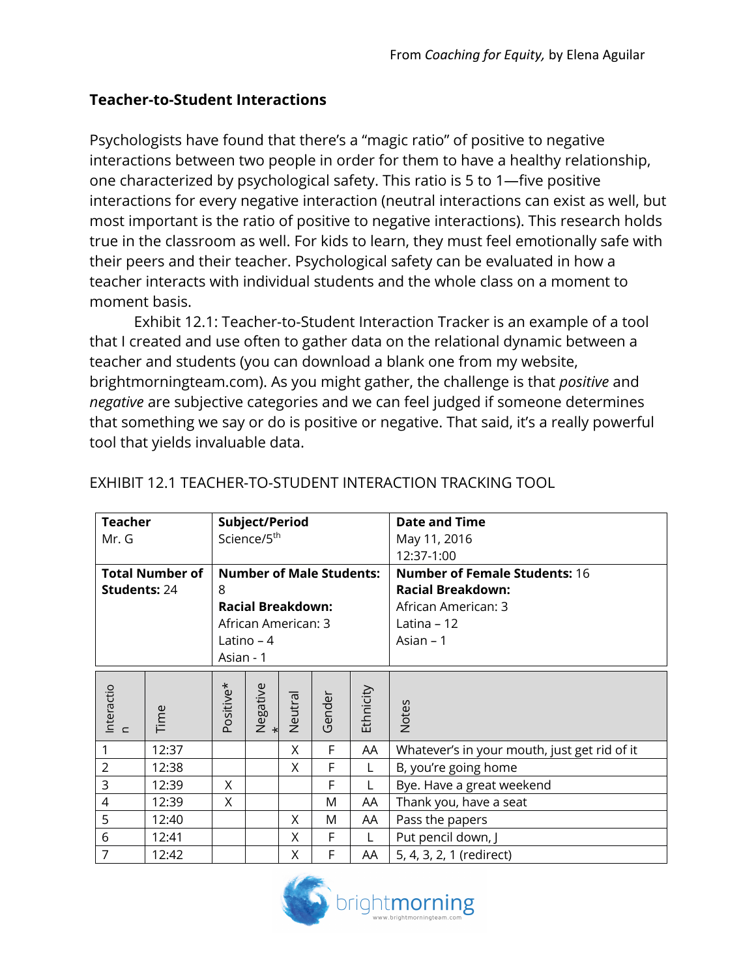## **Teacher-to-Student Interactions**

Psychologists have found that there's a "magic ratio" of positive to negative interactions between two people in order for them to have a healthy relationship, one characterized by psychological safety. This ratio is 5 to 1—five positive interactions for every negative interaction (neutral interactions can exist as well, but most important is the ratio of positive to negative interactions). This research holds true in the classroom as well. For kids to learn, they must feel emotionally safe with their peers and their teacher. Psychological safety can be evaluated in how a teacher interacts with individual students and the whole class on a moment to moment basis.

Exhibit 12.1: Teacher-to-Student Interaction Tracker is an example of a tool that I created and use often to gather data on the relational dynamic between a teacher and students (you can download a blank one from my website, brightmorningteam.com). As you might gather, the challenge is that *positive* and *negative* are subjective categories and we can feel judged if someone determines that something we say or do is positive or negative. That said, it's a really powerful tool that yields invaluable data.

| <b>Teacher</b>          |       |           | Subject/Period           |         |                                 |           | <b>Date and Time</b>                         |
|-------------------------|-------|-----------|--------------------------|---------|---------------------------------|-----------|----------------------------------------------|
| Mr. G                   |       |           | Science/5 <sup>th</sup>  |         |                                 |           | May 11, 2016                                 |
|                         |       |           |                          |         |                                 |           | 12:37-1:00                                   |
| <b>Total Number of</b>  |       |           |                          |         | <b>Number of Male Students:</b> |           | <b>Number of Female Students: 16</b>         |
| <b>Students: 24</b>     |       | 8         |                          |         |                                 |           | <b>Racial Breakdown:</b>                     |
|                         |       |           | <b>Racial Breakdown:</b> |         |                                 |           | African American: 3                          |
|                         |       |           | African American: 3      |         |                                 |           | Latina – 12                                  |
|                         |       |           | Latino – $4$             |         |                                 |           | Asian $-1$                                   |
|                         |       | Asian - 1 |                          |         |                                 |           |                                              |
| Interactio<br>$\subset$ | Time  | Positive* | Negative<br>*            | Neutral | Gender                          | Ethnicity | <b>Notes</b>                                 |
| 1                       | 12:37 |           |                          | X       | F                               | AA        | Whatever's in your mouth, just get rid of it |
| $\overline{2}$          | 12:38 |           |                          | X       | F                               | L         | B, you're going home                         |
| 3                       | 12:39 | X         |                          |         | F                               | L         | Bye. Have a great weekend                    |
| $\overline{4}$          | 12:39 | X         |                          |         | M                               | AA        | Thank you, have a seat                       |
| 5                       | 12:40 |           |                          | X       | M                               | AA        | Pass the papers                              |
| 6                       | 12:41 |           |                          | X       | F                               | L         | Put pencil down, J                           |
| $\overline{7}$          | 12:42 |           |                          | X       | F                               | AΑ        | 5, 4, 3, 2, 1 (redirect)                     |

## EXHIBIT 12.1 TEACHER-TO-STUDENT INTERACTION TRACKING TOOL

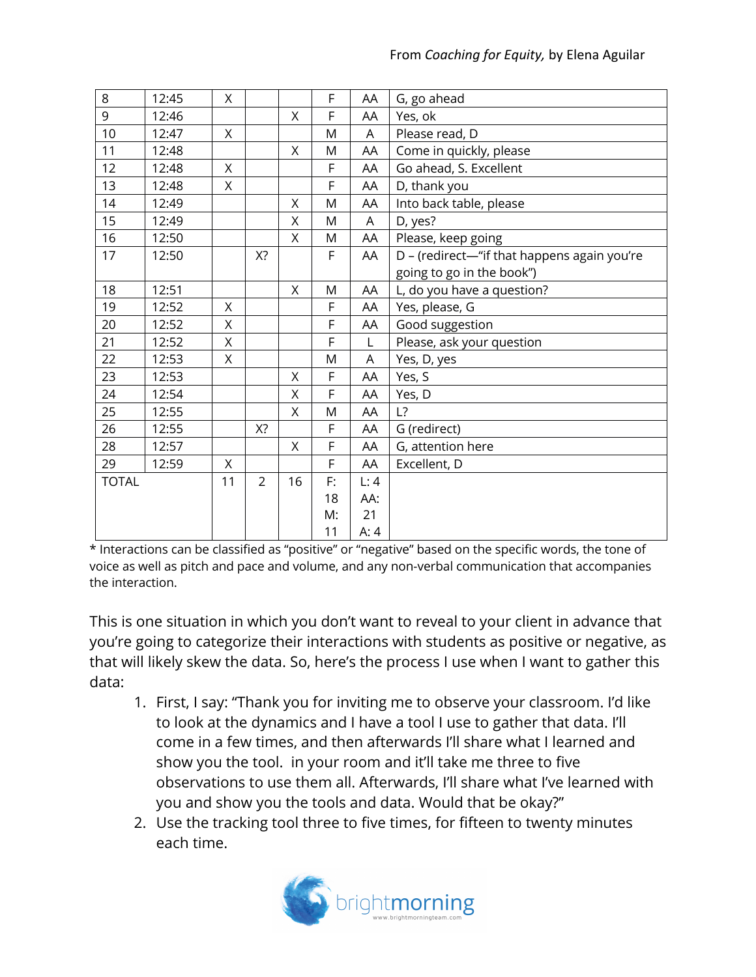| 8            | 12:45 | X  |                |         | F  | AA   | G, go ahead                                 |
|--------------|-------|----|----------------|---------|----|------|---------------------------------------------|
| 9            | 12:46 |    |                | X       | F  | AA   | Yes, ok                                     |
| 10           | 12:47 | X  |                |         | M  | A    | Please read, D                              |
| 11           | 12:48 |    |                | $\sf X$ | M  | AA   | Come in quickly, please                     |
| 12           | 12:48 | X  |                |         | F  | AA   | Go ahead, S. Excellent                      |
| 13           | 12:48 | X  |                |         | F  | AA   | D, thank you                                |
| 14           | 12:49 |    |                | X       | M  | AA   | Into back table, please                     |
| 15           | 12:49 |    |                | X       | M  | A    | D, yes?                                     |
| 16           | 12:50 |    |                | Χ       | M  | AA   | Please, keep going                          |
| 17           | 12:50 |    | X?             |         | F  | AA   | D - (redirect-"if that happens again you're |
|              |       |    |                |         |    |      | going to go in the book")                   |
| 18           | 12:51 |    |                | Χ       | M  | AA   | L, do you have a question?                  |
| 19           | 12:52 | X  |                |         | F  | AA   | Yes, please, G                              |
| 20           | 12:52 | X  |                |         | F  | AA   | Good suggestion                             |
| 21           | 12:52 | Χ  |                |         | F  | L    | Please, ask your question                   |
| 22           | 12:53 | Χ  |                |         | M  | A    | Yes, D, yes                                 |
| 23           | 12:53 |    |                | X       | F  | AA   | Yes, S                                      |
| 24           | 12:54 |    |                | X       | F  | AA   | Yes, D                                      |
| 25           | 12:55 |    |                | X       | M  | AA   | L?                                          |
| 26           | 12:55 |    | X?             |         | F  | AA   | G (redirect)                                |
| 28           | 12:57 |    |                | X       | F  | AA   | G, attention here                           |
| 29           | 12:59 | X  |                |         | F  | AA   | Excellent, D                                |
| <b>TOTAL</b> |       | 11 | $\overline{2}$ | 16      | F: | L:4  |                                             |
|              |       |    |                |         | 18 | AA:  |                                             |
|              |       |    |                |         | M: | 21   |                                             |
|              |       |    |                |         | 11 | A: 4 |                                             |

\* Interactions can be classified as "positive" or "negative" based on the specific words, the tone of voice as well as pitch and pace and volume, and any non-verbal communication that accompanies the interaction.

This is one situation in which you don't want to reveal to your client in advance that you're going to categorize their interactions with students as positive or negative, as that will likely skew the data. So, here's the process I use when I want to gather this data:

- 1. First, I say: "Thank you for inviting me to observe your classroom. I'd like to look at the dynamics and I have a tool I use to gather that data. I'll come in a few times, and then afterwards I'll share what I learned and show you the tool. in your room and it'll take me three to five observations to use them all. Afterwards, I'll share what I've learned with you and show you the tools and data. Would that be okay?"
- 2. Use the tracking tool three to five times, for fifteen to twenty minutes each time.